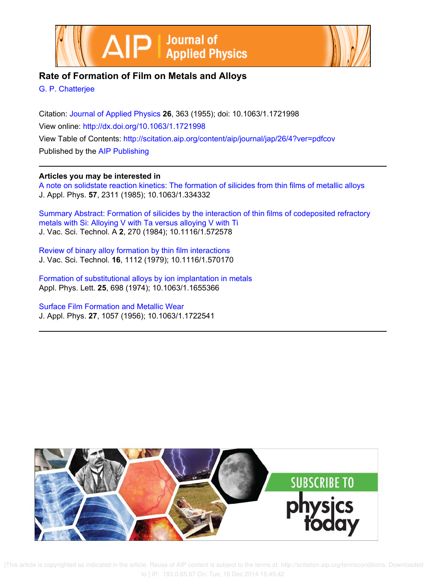



# **Rate of Formation of Film on Metals and Alloys**

G. P. Chatterjee

Citation: Journal of Applied Physics **26**, 363 (1955); doi: 10.1063/1.1721998 View online: http://dx.doi.org/10.1063/1.1721998 View Table of Contents: http://scitation.aip.org/content/aip/journal/jap/26/4?ver=pdfcov Published by the AIP Publishing

# **Articles you may be interested in**

A note on solidstate reaction kinetics: The formation of silicides from thin films of metallic alloys J. Appl. Phys. **57**, 2311 (1985); 10.1063/1.334332

Summary Abstract: Formation of silicides by the interaction of thin films of codeposited refractory metals with Si: Alloying V with Ta versus alloying V with Ti J. Vac. Sci. Technol. A **2**, 270 (1984); 10.1116/1.572578

Review of binary alloy formation by thin film interactions J. Vac. Sci. Technol. **16**, 1112 (1979); 10.1116/1.570170

Formation of substitutional alloys by ion implantation in metals Appl. Phys. Lett. **25**, 698 (1974); 10.1063/1.1655366

Surface Film Formation and Metallic Wear J. Appl. Phys. **27**, 1057 (1956); 10.1063/1.1722541



 [This article is copyrighted as indicated in the article. Reuse of AIP content is subject to the terms at: http://scitation.aip.org/termsconditions. Downloaded to ] IP: 193.0.65.67 On: Tue, 16 Dec 2014 15:45:42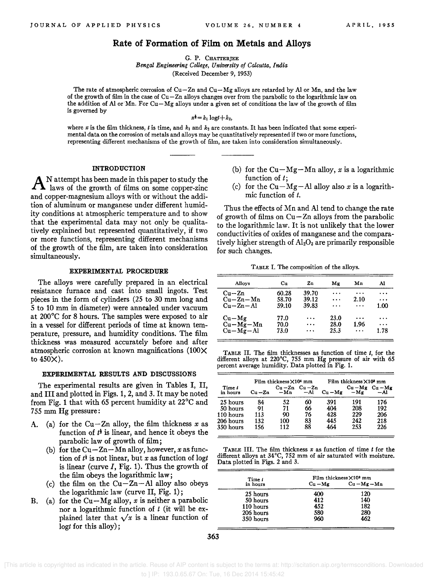# **Rate of Formation of Film on Metals and Alloys**

G. P. CHATTERJEE

*Bengal Engineering College, University of Calcutta, India*  (Received December 9, 1953)

The rate of atmospheric corrosion of  $Cu-Zn$  and  $Cu-Mg$  alloys are retarded by Al or Mn, and the law of the growth of film in the case of Cu-Zn alloys changes over from the parabolic to the logarithmic law on the addition of Al or Mn. For Cu-Mg alloys under a given set of conditions the law of the growth of film is governed by

 $x^{\dagger} = k_1 \log t + k_2$ 

where  $x$  is the film thickness,  $t$  is time, and  $k_1$  and  $k_2$  are constants. It has been indicated that some experimental data on the corrosion of metals and alloys may be quantitatively represented if two or more functions, representing different mechanisms of the growth of film, are taken into consideration simultaneously.

## INTRODUCTION

A N attempt has been made in this paper to study the laws of the growth of films on some copper-zinc N attempt has been made in this paper to study the and copper-magnesium alloys with or without the addition of aluminum or manganese under different humidity conditions at atmospheric temperature and to show that the experimental data may not only be qualitatively explained but represented quantitatively, if two or more functions, representing different mechanisms of the growth of the film, are taken into consideration simultaneously.

#### EXPERIMENTAL PROCEDURE

The alloys were carefully prepared in an electrical resistance furnace and cast into small ingots. Test pieces in the form of cylinders (2S to 30 mm long and 5 to 10 mm in diameter) were annealed under vacuum at 200°C for 8 hours. The samples were exposed to air in a vessel for different periods of time at known temperature, pressure, and humidity conditions. The film thickness was measured accurately before and after atmospheric corrosion at known magnifications  $(100\times$ to 4S0X).

#### EXPERIMENTAL RESULTS AND DISCUSSIONS

The experimental results are given in Tables I, II, and III and plotted in Figs. 1, 2, and 3. It may be noted from Fig. 1 that with 6S percent humidity at 22°C and 755 mm Hg pressure:

- A. (a) for the Cu-Zn alloy, the film thickness *x* as function of  $t^{\frac{1}{2}}$  is linear, and hence it obeys the parabolic law of growth of film;
	- (b) for the  $Cu-Zn-Mn$  alloy, however, x as function of  $t^{\frac{1}{2}}$  is not linear, but *x* as function of logt is linear (curve *I,* Fig. 1). Thus the growth of the film obeys the logarithmic law;
	- (c) the film on the  $Cu-Zn-A1$  alloy also obeys the logarithmic law (curve II, Fig. 1);
- B. (a) for the Cu $-Mg$  alloy, *x* is neither a parabolic nor a logarithmic function of *t* (it will be explained later that  $\sqrt{x}$  is a linear function of *logt* for this alloy);
- (b) for the  $Cu-Mg-Mn$  alloy, *x* is a logarithmic function of *t;*
- (c) for the  $Cu-Mg-Al$  alloy also x is a logarithmic function of *t.*

Thus the effects of Mn and Al tend to change the rate of growth of films on  $Cu - Zn$  alloys from the parabolic to the logarithmic law. It is not unlikely that the lower conductivities of oxides of manganese and the comparatively higher strength of  $Al_2O_3$  are primarily responsible for such changes.

TABLE I. The composition of the alloys.

| Alloys         | Сu    | Zn       | Μg       | Мn       | Al        |
|----------------|-------|----------|----------|----------|-----------|
| $Cu - Zn$      | 60.28 | 39.70    | $\cdots$ | .        | $\cdots$  |
| $Cu - Zn - Mn$ | 58.70 | 39.12    | $\cdots$ | 2.10     | $\cdots$  |
| $Cu - Zn - Al$ | 59.10 | 39.83    | .        | $\cdots$ | 1.00      |
| $Cu-Mg$        | 77.0  | $\cdots$ | 23.0     | $\cdots$ | $\cdots$  |
| $Cu-Mg-Mn$     | 70.0  | $\cdots$ | 28.0     | 1.96     | $\ddotsc$ |
| $Cu-Mg-Al$     | 73.0  | $\cdots$ | 25.3     | $\cdots$ | 1.78      |

TABLE II. The film thicknesses as function of time *t,* for the different alloys at 220°C, 755 mm Hg pressure of air with 65 percent average humidity. Data plotted in Fig. 1.

|                    | Film thickness ×104 mm |       |                              | Film thickness X10 <sup>s</sup> mm |                              |      |
|--------------------|------------------------|-------|------------------------------|------------------------------------|------------------------------|------|
| Time t<br>in hours | $Cu - Zn$              | $-Mn$ | $Cu - Zn$ $Cu - Zn$<br>$-A1$ | $Cu - Mg$                          | $Cu - Mg$ $Cu - Mg$<br>$-Mg$ | — A1 |
| 25 hours           | 84                     | 52    | 60                           | 391                                | 191                          | 176  |
| 50 hours           | 91                     | 71    | 66                           | 404                                | 208                          | 192  |
| 110 hours          | 113                    | 90    | 76                           | 428                                | 229                          | 206  |
| 206 hours          | 132                    | 100   | 83                           | 445                                | 242                          | 218  |
| 350 hours          | 156                    | 112   | 88                           | 464                                | 253                          | 226  |

TABLE III. The film thickness *x* as function of time *t* for the different alloys at 34°C, 752 mm of air saturated with moisture. Data plotted in Figs. 2 and 3.

| Time t    | Film thickness $\times$ 10 <sup>3</sup> mm |                |  |  |
|-----------|--------------------------------------------|----------------|--|--|
| in hours  | $Cu - Mg$                                  | $Cu - Mg - Mn$ |  |  |
| 25 hours  | 400                                        | 120            |  |  |
| 50 hours  | 412                                        | 140            |  |  |
| 110 hours | 452                                        | 182            |  |  |
| 206 hours | 580                                        | 280            |  |  |
| 350 hours | 960                                        | 462            |  |  |

 [This article is copyrighted as indicated in the article. Reuse of AIP content is subject to the terms at: http://scitation.aip.org/termsconditions. Downloaded to ] IP: 193.0.65.67 On: Tue, 16 Dec 2014 15:45:42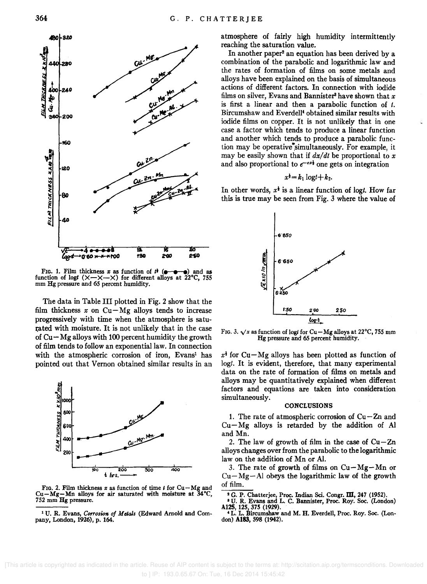

FIG. 1. Film thickness *x* as function of  $t^{\frac{1}{2}}$  ( $\bullet$   $\bullet$   $\bullet$ ) and as function of logt  $(X-X-X)$  for different alloys at 22°C, 755 mm Hg pressure and 65 percent humidity.

The data in Table III plotted in Fig. 2 show that the film thickness  $x$  on  $Cu-Mg$  alloys tends to increase progressively with time when the atmosphere is saturated with moisture. It is not unlikely that in the case of  $Cu - Mg$  alloys with 100 percent humidity the growth of film tends to follow an exponential law. In connection with the atmospheric corrosion of iron, Evans<sup>1</sup> has pointed out that Vernon obtained similar results in an



FIG. 2. Film thickness  $x$  as function of time  $t$  for  $Cu - Mg$  and Cu $-Mg-Mn$  alloys for air saturated with moisture at  $34^{\circ}$ C, 752 mm Hg pressure.

1 U. R. Evans, *Corrosion of Metals* (Edward Arnold and Company, London, 1926), p. 164.

atmosphere of fairly high humidity intermittently reaching the saturation value.

In another paper<sup>2</sup> an equation has been derived by a combination of the parabolic and logarithmic law and the rates of formation of films on some metals and alloys have been explained on the basis of simultaneous actions of different factors. In connection with iodide films on silver, Evans and Bannister<sup>3</sup> have shown that  $x$ is first a linear and then a parabolic function of *t.*  Bircumshaw and Everdell4 obtained similar results with iodide films on copper. It is not unlikely that in one case a factor which tends to produce a linear function and another which tends to produce a parabolic function may be operative simultaneously. For example, it may be easily shown that if  $dx/dt$  be proportional to x and also proportional to  $e^{-cx}$  one gets on integration

$$
x^{\frac{1}{2}}=k_1\log t+k_2.
$$

In other words,  $x^{\dagger}$  is a linear function of logt. How far this is true may be seen from Fig. 3 where the value of



FIG. 3.  $\sqrt{x}$  as function of logt for Cu-Mg alloys at 22°C, 755 mm Hg pressure and 65 percent humidity.

 $x<sup>1</sup>$  for Cu-Mg alloys has been plotted as function of logt. It is evident, therefore, that many experimental data on the rate of formation of films on metals and alloys may be quantitatively explained when different factors and equations are taken into consideration simultaneously.

#### **CONCLUSIONS**

1. The rate of atmospheric corrosion of  $Cu-Zn$  and  $Cu-Mg$  alloys is retarded by the addition of Al and Mn.

2. The law of growth of film in the case of  $Cu-Zn$ alloys changes over from the parabolic to the logarithmic law on the addition of Mn or AI.

3. The rate of growth of films on  $Cu-Mg-Mn$  or  $Cu-Mg-Al$  obeys the logarithmic law of the growth of film.

<sup>2</sup> G. P. Chatterjee, Proc. Indian Sci. Congr. III, 247 (1952).

<sup>3</sup>U. R. Evans and L. C. Bannister, Proc. Roy. Soc. (London) Al25, 125,375 (1929).

<sup>4</sup> L. L. Bircumshaw and M. H. Everdell, Proc. Roy. Soc. (London) Al83, 598 (1942).